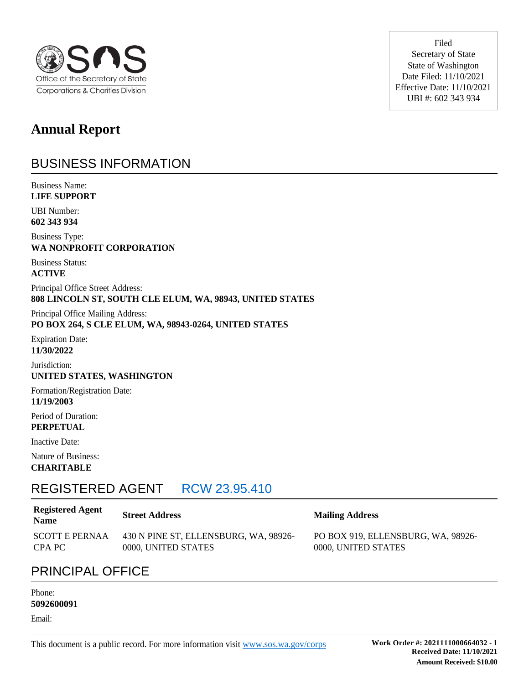

**Annual Report** 

### BUSINESS INFORMATION

Business Name: **LIFE SUPPORT**

UBI Number: **602 343 934**

Business Type: **WA NONPROFIT CORPORATION**

Business Status: **ACTIVE**

Principal Office Street Address: **808 LINCOLN ST, SOUTH CLE ELUM, WA, 98943, UNITED STATES**

Principal Office Mailing Address: **PO BOX 264, S CLE ELUM, WA, 98943-0264, UNITED STATES**

Expiration Date: **11/30/2022**

Jurisdiction: **UNITED STATES, WASHINGTON**

Formation/Registration Date: **11/19/2003**

Period of Duration: **PERPETUAL**

Inactive Date:

Nature of Business: **CHARITABLE**

### REGISTERED AGENT RCW 23.95.410

#### **Registered Agent Name Street Address Mailing Address** SCOTT E PERNAA CPA PC 430 N PINE ST, ELLENSBURG, WA, 98926- 0000, UNITED STATES

Filed Secretary of State State of Washington Date Filed: 11/10/2021 Effective Date: 11/10/2021 UBI #: 602 343 934

PO BOX 919, ELLENSBURG, WA, 98926- 0000, UNITED STATES

### PRINCIPAL OFFICE

#### Phone: **5092600091**

Email: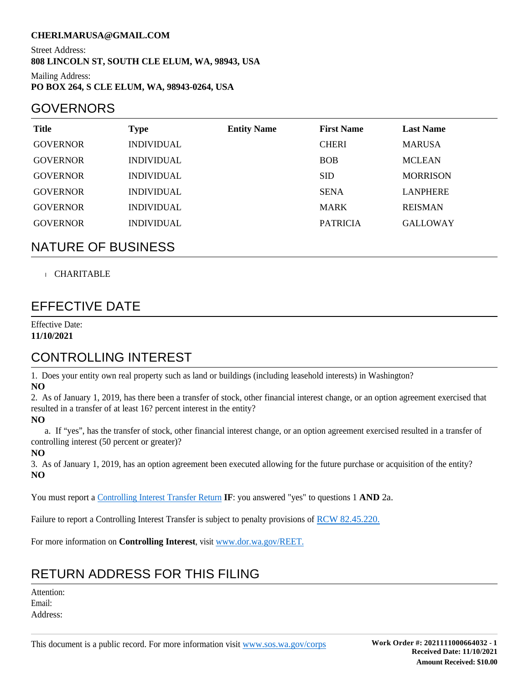### **CHERI.MARUSA@GMAIL.COM**

Street Address: **808 LINCOLN ST, SOUTH CLE ELUM, WA, 98943, USA**

Mailing Address: **PO BOX 264, S CLE ELUM, WA, 98943-0264, USA**

### GOVERNORS

| <b>Title</b>    | Type              | <b>Entity Name</b> | <b>First Name</b> | <b>Last Name</b> |
|-----------------|-------------------|--------------------|-------------------|------------------|
| <b>GOVERNOR</b> | <b>INDIVIDUAL</b> |                    | <b>CHERI</b>      | <b>MARUSA</b>    |
| <b>GOVERNOR</b> | <b>INDIVIDUAL</b> |                    | <b>BOB</b>        | <b>MCLEAN</b>    |
| <b>GOVERNOR</b> | <b>INDIVIDUAL</b> |                    | <b>SID</b>        | <b>MORRISON</b>  |
| <b>GOVERNOR</b> | <b>INDIVIDUAL</b> |                    | <b>SENA</b>       | <b>LANPHERE</b>  |
| <b>GOVERNOR</b> | <b>INDIVIDUAL</b> |                    | <b>MARK</b>       | <b>REISMAN</b>   |
| <b>GOVERNOR</b> | <b>INDIVIDUAL</b> |                    | <b>PATRICIA</b>   | <b>GALLOWAY</b>  |

### NATURE OF BUSINESS

### CHARITABLE

### EFFECTIVE DATE

Effective Date: **11/10/2021**

### CONTROLLING INTEREST

1. Does your entity own real property such as land or buildings (including leasehold interests) in Washington? **NO**

2. As of January 1, 2019, has there been a transfer of stock, other financial interest change, or an option agreement exercised that resulted in a transfer of at least 16? percent interest in the entity?

**NO**

 a. If "yes", has the transfer of stock, other financial interest change, or an option agreement exercised resulted in a transfer of controlling interest (50 percent or greater)?

#### **NO**

3. As of January 1, 2019, has an option agreement been executed allowing for the future purchase or acquisition of the entity? **NO**

You must report a Controlling Interest Transfer Return **IF**: you answered "yes" to questions 1 **AND** 2a.

Failure to report a Controlling Interest Transfer is subject to penalty provisions of RCW 82.45.220.

For more information on **Controlling Interest**, visit www.dor.wa.gov/REET.

### RETURN ADDRESS FOR THIS FILING

Attention: Email: Address: